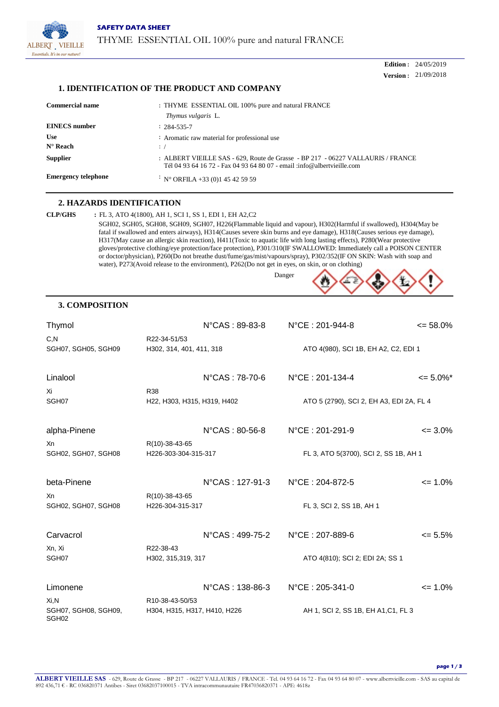

**Edition :** 24/05/2019 **Version :** 21/09/2018

### **1. IDENTIFICATION OF THE PRODUCT AND COMPANY**

| <b>Commercial name</b>          | : THYME ESSENTIAL OIL 100% pure and natural FRANCE<br><i>Thymus vulgaris</i> L.                                                                            |
|---------------------------------|------------------------------------------------------------------------------------------------------------------------------------------------------------|
| <b>EINECS</b> number            | $: 284 - 535 - 7$                                                                                                                                          |
| <b>Use</b><br>$N^{\circ}$ Reach | Aromatic raw material for professional use<br>$\cdot$ /                                                                                                    |
| <b>Supplier</b>                 | : ALBERT VIEILLE SAS - 629, Route de Grasse - BP 217 - 06227 VALLAURIS / FRANCE<br>Tél 04 93 64 16 72 - Fax 04 93 64 80 07 - email :info@albertvieille.com |
| <b>Emergency telephone</b>      | $N^{\circ}$ ORFILA +33 (0)1 45 42 59 59                                                                                                                    |

## **2. HAZARDS IDENTIFICATION**

**CLP/GHS :** FL 3, ATO 4(1800), AH 1, SCI 1, SS 1, EDI 1, EH A2,C2 SGH02, SGH05, SGH08, SGH09, SGH07, H226(Flammable liquid and vapour), H302(Harmful if swallowed), H304(May be fatal if swallowed and enters airways), H314(Causes severe skin burns and eye damage), H318(Causes serious eye damage), H317(May cause an allergic skin reaction), H411(Toxic to aquatic life with long lasting effects), P280(Wear protective gloves/protective clothing/eye protection/face protection), P301/310(IF SWALLOWED: Immediately call a POISON CENTER or doctor/physician), P260(Do not breathe dust/fume/gas/mist/vapours/spray), P302/352(IF ON SKIN: Wash with soap and water), P273(Avoid release to the environment), P262(Do not get in eyes, on skin, or on clothing)

Danger

## **3. COMPOSITION**

| Thymol                                               |                                                 | $N^{\circ}$ CAS: 89-83-8 | $N^{\circ}$ CE : 201-944-8               | $\leq$ 58.0%      |
|------------------------------------------------------|-------------------------------------------------|--------------------------|------------------------------------------|-------------------|
| C, N<br>SGH07, SGH05, SGH09                          | R22-34-51/53<br>H302, 314, 401, 411, 318        |                          | ATO 4(980), SCI 1B, EH A2, C2, EDI 1     |                   |
| Linalool                                             |                                                 | N°CAS: 78-70-6           | $N^{\circ}$ CE : 201-134-4               | $\leq 5.0\%$ *    |
| Xi<br>SGH07                                          | <b>R38</b><br>H22, H303, H315, H319, H402       |                          | ATO 5 (2790), SCI 2, EH A3, EDI 2A, FL 4 |                   |
| alpha-Pinene                                         |                                                 | $N^{\circ}$ CAS: 80-56-8 | N°CE: 201-291-9                          | $\leq$ 3.0%       |
| Xn<br>SGH02, SGH07, SGH08                            | R(10)-38-43-65<br>H226-303-304-315-317          |                          | FL 3, ATO 5(3700), SCI 2, SS 1B, AH 1    |                   |
| beta-Pinene                                          |                                                 | N°CAS: 127-91-3          | N°CE: 204-872-5                          | $\leq 1.0\%$      |
| Xn<br>SGH02, SGH07, SGH08                            | R(10)-38-43-65<br>H226-304-315-317              |                          | FL 3, SCI 2, SS 1B, AH 1                 |                   |
| Carvacrol                                            |                                                 | N°CAS : 499-75-2         | N°CE: 207-889-6                          | $\epsilon$ = 5.5% |
| Xn, Xi<br>SGH07                                      | R22-38-43<br>H302, 315, 319, 317                |                          | ATO 4(810); SCI 2; EDI 2A; SS 1          |                   |
| Limonene                                             |                                                 | N°CAS: 138-86-3          | N°CE: 205-341-0                          | $\leq 1.0\%$      |
| $Xi$ .N<br>SGH07, SGH08, SGH09,<br>SGH <sub>02</sub> | R10-38-43-50/53<br>H304, H315, H317, H410, H226 |                          | AH 1, SCI 2, SS 1B, EH A1, C1, FL 3      |                   |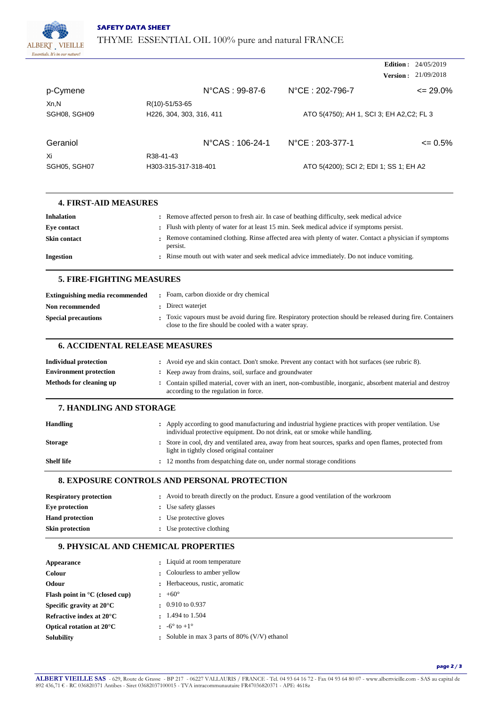

|              |                            |                                           | <b>Edition</b> : $24/05/2019$ |
|--------------|----------------------------|-------------------------------------------|-------------------------------|
|              |                            | Version :                                 | 21/09/2018                    |
| p-Cymene     | $N^{\circ}$ CAS : 99-87-6  | $N^{\circ}$ CE : 202-796-7                | $\leq$ 29.0%                  |
| Xn,N         | R(10)-51/53-65             |                                           |                               |
| SGH08, SGH09 | H226, 304, 303, 316, 411   | ATO 5(4750); AH 1, SCI 3; EH A2, C2; FL 3 |                               |
| Geraniol     | $N^{\circ}$ CAS : 106-24-1 | $N^{\circ}$ CE : 203-377-1                | $\epsilon$ = 0.5%             |
| Xi           | R38-41-43                  |                                           |                               |
| SGH05, SGH07 | H303-315-317-318-401       | ATO 5(4200); SCI 2; EDI 1; SS 1; EH A2    |                               |

| <b>4. FIRST-AID MEASURES</b> |                                                                                                                     |
|------------------------------|---------------------------------------------------------------------------------------------------------------------|
| <b>Inhalation</b>            | : Remove affected person to fresh air. In case of beathing difficulty, seek medical advice                          |
| Eve contact                  | : Flush with plenty of water for at least 15 min. Seek medical advice if symptoms persist.                          |
| <b>Skin contact</b>          | : Remove contamined clothing. Rinse affected area with plenty of water. Contact a physician if symptoms<br>persist. |
| <b>Ingestion</b>             | . Rinse mouth out with water and seek medical advice immediately. Do not induce vomiting.                           |

## **5. FIRE-FIGHTING MEASURES**

| <b>Extinguishing media recommended</b> | Foam, carbon dioxide or dry chemical                                                                                                                                 |
|----------------------------------------|----------------------------------------------------------------------------------------------------------------------------------------------------------------------|
| Non recommended                        | : Direct waterjet                                                                                                                                                    |
| <b>Special precautions</b>             | Toxic vapours must be avoid during fire. Respiratory protection should be released during fire. Containers<br>close to the fire should be cooled with a water spray. |

## **6. ACCIDENTAL RELEASE MEASURES**

| <b>Individual protection</b>  | : Avoid eye and skin contact. Don't smoke. Prevent any contact with hot surfaces (see rubric 8).                                                     |
|-------------------------------|------------------------------------------------------------------------------------------------------------------------------------------------------|
| <b>Environment protection</b> | : Keep away from drains, soil, surface and groundwater                                                                                               |
| Methods for cleaning up       | : Contain spilled material, cover with an inert, non-combustible, inorganic, absorbent material and destroy<br>according to the regulation in force. |

## **7. HANDLING AND STORAGE**

| <b>Handling</b>   | Apply according to good manufacturing and industrial hygiene practices with proper ventilation. Use<br>individual protective equipment. Do not drink, eat or smoke while handling. |
|-------------------|------------------------------------------------------------------------------------------------------------------------------------------------------------------------------------|
| <b>Storage</b>    | Store in cool, dry and ventilated area, away from heat sources, sparks and open flames, protected from<br>light in tightly closed original container                               |
| <b>Shelf life</b> | : 12 months from despatching date on, under normal storage conditions                                                                                                              |

### **8. EXPOSURE CONTROLS AND PERSONAL PROTECTION**

| <b>Respiratory protection</b> | : Avoid to breath directly on the product. Ensure a good ventilation of the workroom |
|-------------------------------|--------------------------------------------------------------------------------------|
| Eve protection                | : Use safety glasses                                                                 |
| <b>Hand protection</b>        | : Use protective gloves                                                              |
| Skin protection               | : Use protective clothing                                                            |

# **9. PHYSICAL AND CHEMICAL PROPERTIES**

| Appearance                                                | : Liquid at room temperature                |
|-----------------------------------------------------------|---------------------------------------------|
| <b>Colour</b>                                             | : Colourless to amber yellow                |
| Odour                                                     | : Herbaceous, rustic, aromatic              |
| <b>Flash point in <math>^{\circ}</math>C</b> (closed cup) | $\pm 60^{\circ}$                            |
| Specific gravity at $20^{\circ}$ C                        | $\pm 0.910$ to 0.937                        |
| Refractive index at $20^{\circ}$ C                        | $\cdot$ 1.494 to 1.504                      |
| Optical rotation at $20^{\circ}$ C                        | $\cdot$ -6° to +1°                          |
| <b>Solubility</b>                                         | Soluble in max 3 parts of 80% (V/V) ethanol |

**page 2 / 3**